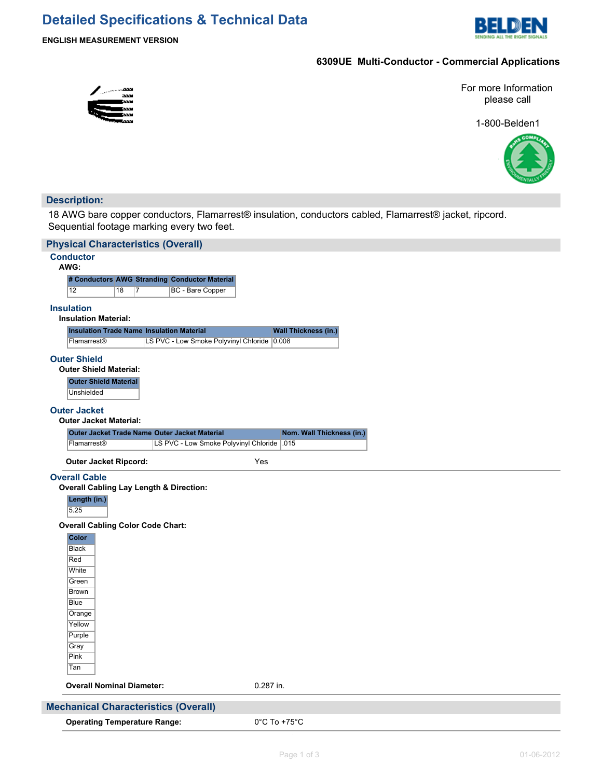# **Detailed Specifications & Technical Data**



## **6309UE Multi-Conductor - Commercial Applications**

For more Information please call

1-800-Belden1



## **Description:**

18 AWG bare copper conductors, Flamarrest® insulation, conductors cabled, Flamarrest® jacket, ripcord. Sequential footage marking every two feet.

| <b>Physical Characteristics (Overall)</b>          |                                               |                                   |  |  |  |
|----------------------------------------------------|-----------------------------------------------|-----------------------------------|--|--|--|
| <b>Conductor</b><br>AWG:                           |                                               |                                   |  |  |  |
|                                                    | # Conductors AWG Stranding Conductor Material |                                   |  |  |  |
| $\overline{12}$<br>18<br>7                         | BC - Bare Copper                              |                                   |  |  |  |
| <b>Insulation</b>                                  |                                               |                                   |  |  |  |
| <b>Insulation Material:</b>                        |                                               |                                   |  |  |  |
| <b>Insulation Trade Name Insulation Material</b>   |                                               | <b>Wall Thickness (in.)</b>       |  |  |  |
| Flamarrest®                                        | LS PVC - Low Smoke Polyvinyl Chloride 0.008   |                                   |  |  |  |
| <b>Outer Shield</b>                                |                                               |                                   |  |  |  |
| <b>Outer Shield Material:</b>                      |                                               |                                   |  |  |  |
| <b>Outer Shield Material</b><br>Unshielded         |                                               |                                   |  |  |  |
| <b>Outer Jacket</b>                                |                                               |                                   |  |  |  |
| <b>Outer Jacket Material:</b>                      |                                               |                                   |  |  |  |
| Outer Jacket Trade Name Outer Jacket Material      |                                               | Nom. Wall Thickness (in.)         |  |  |  |
| Flamarrest®                                        | LS PVC - Low Smoke Polyvinyl Chloride         | .015                              |  |  |  |
| <b>Outer Jacket Ripcord:</b>                       |                                               | Yes                               |  |  |  |
| <b>Overall Cable</b>                               |                                               |                                   |  |  |  |
| <b>Overall Cabling Lay Length &amp; Direction:</b> |                                               |                                   |  |  |  |
| Length (in.)<br>5.25                               |                                               |                                   |  |  |  |
| <b>Overall Cabling Color Code Chart:</b>           |                                               |                                   |  |  |  |
| <b>Color</b>                                       |                                               |                                   |  |  |  |
| <b>Black</b>                                       |                                               |                                   |  |  |  |
| Red                                                |                                               |                                   |  |  |  |
| White                                              |                                               |                                   |  |  |  |
| Green<br><b>Brown</b>                              |                                               |                                   |  |  |  |
| Blue                                               |                                               |                                   |  |  |  |
| Orange                                             |                                               |                                   |  |  |  |
| Yellow                                             |                                               |                                   |  |  |  |
| Purple                                             |                                               |                                   |  |  |  |
| Gray                                               |                                               |                                   |  |  |  |
| Pink<br>Tan                                        |                                               |                                   |  |  |  |
| <b>Overall Nominal Diameter:</b>                   |                                               | 0.287 in.                         |  |  |  |
|                                                    |                                               |                                   |  |  |  |
| <b>Mechanical Characteristics (Overall)</b>        |                                               |                                   |  |  |  |
| <b>Operating Temperature Range:</b>                |                                               | $0^{\circ}$ C To +75 $^{\circ}$ C |  |  |  |

**Bulk Cable Weight:** 83.900 lbs/1000 ft.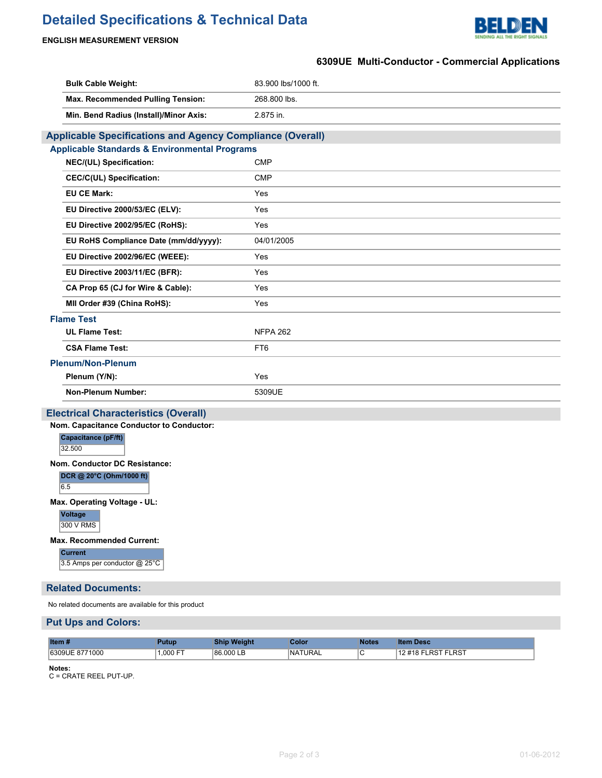# **Detailed Specifications & Technical Data**



#### **ENGLISH MEASUREMENT VERSION**

# **6309UE Multi-Conductor - Commercial Applications**

| <b>Bulk Cable Weight:</b>                                                           | 83.900 lbs/1000 ft. |  |  |  |  |  |
|-------------------------------------------------------------------------------------|---------------------|--|--|--|--|--|
| Max. Recommended Pulling Tension:                                                   | 268.800 lbs.        |  |  |  |  |  |
| Min. Bend Radius (Install)/Minor Axis:                                              | 2.875 in.           |  |  |  |  |  |
| <b>Applicable Specifications and Agency Compliance (Overall)</b>                    |                     |  |  |  |  |  |
| <b>Applicable Standards &amp; Environmental Programs</b>                            |                     |  |  |  |  |  |
| NEC/(UL) Specification:                                                             | <b>CMP</b>          |  |  |  |  |  |
| <b>CEC/C(UL) Specification:</b>                                                     | <b>CMP</b>          |  |  |  |  |  |
| <b>EU CE Mark:</b>                                                                  | Yes                 |  |  |  |  |  |
| EU Directive 2000/53/EC (ELV):                                                      | Yes                 |  |  |  |  |  |
| EU Directive 2002/95/EC (RoHS):                                                     | Yes                 |  |  |  |  |  |
| EU RoHS Compliance Date (mm/dd/yyyy):                                               | 04/01/2005          |  |  |  |  |  |
| EU Directive 2002/96/EC (WEEE):                                                     | Yes                 |  |  |  |  |  |
| EU Directive 2003/11/EC (BFR):                                                      | Yes                 |  |  |  |  |  |
| CA Prop 65 (CJ for Wire & Cable):                                                   | Yes                 |  |  |  |  |  |
| MII Order #39 (China RoHS):                                                         | Yes                 |  |  |  |  |  |
| <b>Flame Test</b>                                                                   |                     |  |  |  |  |  |
| <b>UL Flame Test:</b>                                                               | <b>NFPA 262</b>     |  |  |  |  |  |
| <b>CSA Flame Test:</b>                                                              | FT6                 |  |  |  |  |  |
| <b>Plenum/Non-Plenum</b>                                                            |                     |  |  |  |  |  |
| Plenum (Y/N):                                                                       | Yes                 |  |  |  |  |  |
| <b>Non-Plenum Number:</b>                                                           | 5309UE              |  |  |  |  |  |
| <b>Electrical Characteristics (Overall)</b>                                         |                     |  |  |  |  |  |
| Nom. Capacitance Conductor to Conductor:                                            |                     |  |  |  |  |  |
| Capacitance (pF/ft)<br>32.500                                                       |                     |  |  |  |  |  |
| Nom. Conductor DC Resistance:<br>DCR @ 20°C (Ohm/1000 ft)<br>6.5                    |                     |  |  |  |  |  |
| Max. Operating Voltage - UL:<br>Voltage<br>300 V RMS                                |                     |  |  |  |  |  |
| <b>Max. Recommended Current:</b><br><b>Current</b><br>3.5 Amps per conductor @ 25°C |                     |  |  |  |  |  |

**Related Documents:**

No related documents are available for this product

#### **Put Ups and Colors:**

| Item #         | 'utur   | <b>Veight</b> | Color          | <b>Notes</b> | ltem Desc                            |
|----------------|---------|---------------|----------------|--------------|--------------------------------------|
| 6309UE 8771000 | 000 FT. | 86,000 LB     | <b>NATURAL</b> |              | RST FLRST.<br>$12 \# 18$ F<br>ו האו- |

**Notes:**

C = CRATE REEL PUT-UP.